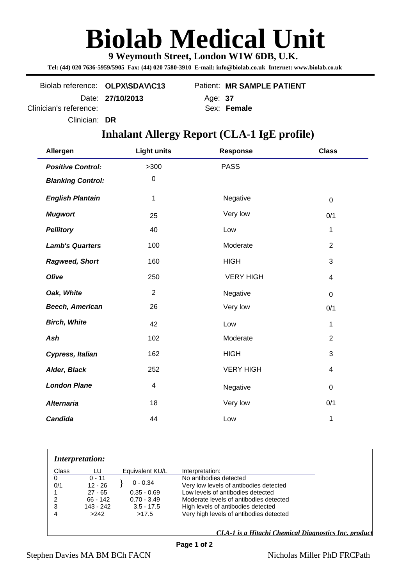## **Biolab Medical Unit**

**9 Weymouth Street, London W1W 6DB, U.K.** 

 **Tel: (44) 020 7636-5959/5905 Fax: (44) 020 7580-3910 E-mail: info@biolab.co.uk Internet: www.biolab.co.uk**

Biolab reference: **OLPX\SDAV\C13** Patient: **MR SAMPLE PATIENT** Clinician's reference: Date: **27/10/2013**

Age: **37**

Sex: **Female**

Clinician: **DR**

## **Inhalant Allergy Report (CLA-1 IgE profile)**

| Allergen                 | <b>Light units</b>      | <b>Response</b>  | <b>Class</b>   |
|--------------------------|-------------------------|------------------|----------------|
| <b>Positive Control:</b> | >300                    | <b>PASS</b>      |                |
| <b>Blanking Control:</b> | 0                       |                  |                |
| <b>English Plantain</b>  | 1                       | Negative         | $\mathbf 0$    |
| <b>Mugwort</b>           | 25                      | Very low         | 0/1            |
| <b>Pellitory</b>         | 40                      | Low              | 1              |
| <b>Lamb's Quarters</b>   | 100                     | Moderate         | $\overline{2}$ |
| <b>Ragweed, Short</b>    | 160                     | <b>HIGH</b>      | 3              |
| <b>Olive</b>             | 250                     | <b>VERY HIGH</b> | 4              |
| Oak, White               | $\overline{2}$          | Negative         | $\mathbf 0$    |
| <b>Beech, American</b>   | 26                      | Very low         | 0/1            |
| <b>Birch, White</b>      | 42                      | Low              | 1              |
| Ash                      | 102                     | Moderate         | $\overline{2}$ |
| Cypress, Italian         | 162                     | <b>HIGH</b>      | 3              |
| Alder, Black             | 252                     | <b>VERY HIGH</b> | 4              |
| <b>London Plane</b>      | $\overline{\mathbf{4}}$ | Negative         | $\mathbf 0$    |
| <b>Alternaria</b>        | 18                      | Very low         | 0/1            |
| <b>Candida</b>           | 44                      | Low              | 1              |

| <b>Interpretation:</b> |            |                 |                                                      |  |  |
|------------------------|------------|-----------------|------------------------------------------------------|--|--|
| Class                  | LU         | Equivalent KU/L | Interpretation:                                      |  |  |
| 0                      | $0 - 11$   |                 | No antibodies detected                               |  |  |
| 0/1                    | $12 - 26$  | $0 - 0.34$      | Very low levels of antibodies detected               |  |  |
|                        | $27 - 65$  | $0.35 - 0.69$   | Low levels of antibodies detected                    |  |  |
| 2                      | $66 - 142$ | $0.70 - 3.49$   | Moderate levels of antibodies detected               |  |  |
| 3                      | 143 - 242  | $3.5 - 17.5$    | High levels of antibodies detected                   |  |  |
|                        | >242       | >17.5           | Very high levels of antibodies detected              |  |  |
|                        |            |                 |                                                      |  |  |
|                        |            |                 | CLA-1 is a Hitachi Chemical Diagnostics Inc. product |  |  |